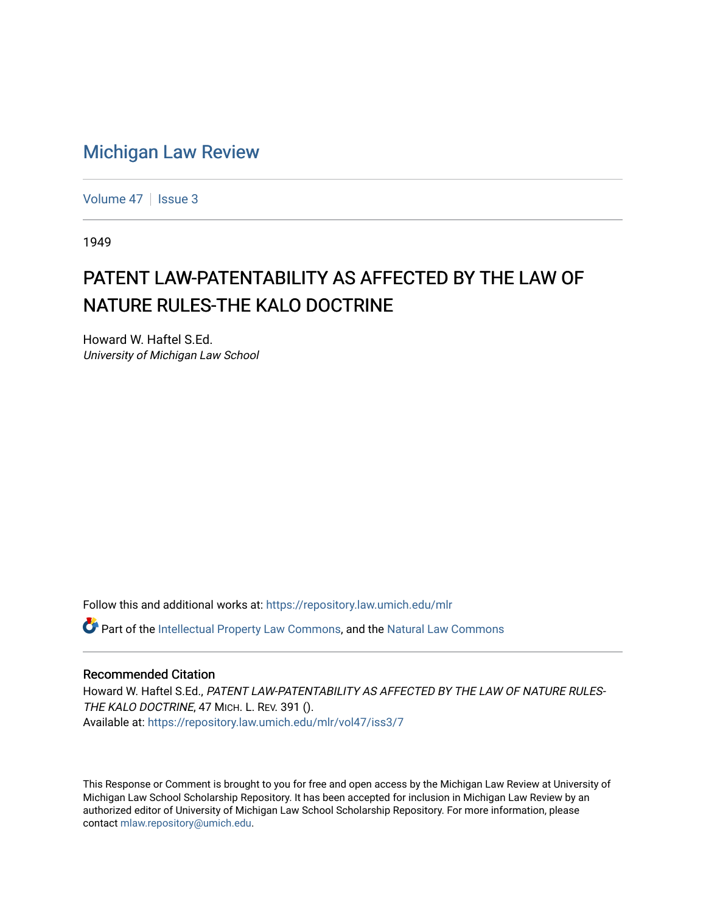## [Michigan Law Review](https://repository.law.umich.edu/mlr)

[Volume 47](https://repository.law.umich.edu/mlr/vol47) | [Issue 3](https://repository.law.umich.edu/mlr/vol47/iss3)

1949

# PATENT LAW-PATENTABILITY AS AFFECTED BY THE LAW OF NATURE RULES-THE KALO DOCTRINE

Howard W. Haftel S.Ed. University of Michigan Law School

Follow this and additional works at: [https://repository.law.umich.edu/mlr](https://repository.law.umich.edu/mlr?utm_source=repository.law.umich.edu%2Fmlr%2Fvol47%2Fiss3%2F7&utm_medium=PDF&utm_campaign=PDFCoverPages) 

**C** Part of the [Intellectual Property Law Commons,](http://network.bepress.com/hgg/discipline/896?utm_source=repository.law.umich.edu%2Fmlr%2Fvol47%2Fiss3%2F7&utm_medium=PDF&utm_campaign=PDFCoverPages) and the Natural Law Commons

## Recommended Citation

Howard W. Haftel S.Ed., PATENT LAW-PATENTABILITY AS AFFECTED BY THE LAW OF NATURE RULES-THE KALO DOCTRINE, 47 MICH. L. REV. 391 (). Available at: [https://repository.law.umich.edu/mlr/vol47/iss3/7](https://repository.law.umich.edu/mlr/vol47/iss3/7?utm_source=repository.law.umich.edu%2Fmlr%2Fvol47%2Fiss3%2F7&utm_medium=PDF&utm_campaign=PDFCoverPages)

This Response or Comment is brought to you for free and open access by the Michigan Law Review at University of Michigan Law School Scholarship Repository. It has been accepted for inclusion in Michigan Law Review by an authorized editor of University of Michigan Law School Scholarship Repository. For more information, please contact [mlaw.repository@umich.edu](mailto:mlaw.repository@umich.edu).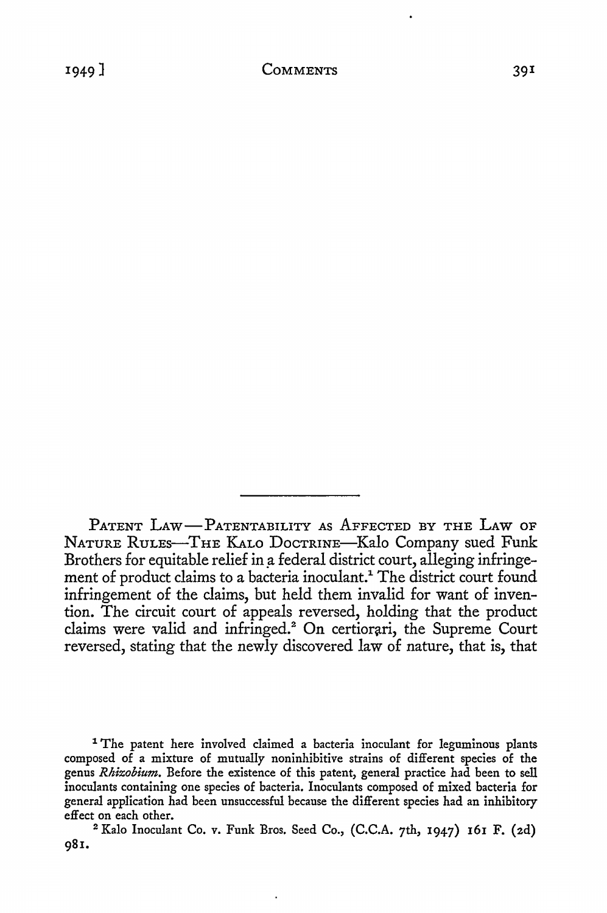PATENT LAW-PATENTABILITY AS AFFECTED BY THE LAW OF NATURE RULES-THE KALO DOCTRINE-Kalo Company sued Funk Brothers for equitable relief in a federal district court, alleging infringement of product claims to a bacteria inoculant.<sup>1</sup> The district court found infringement of the claims, but held them invalid for want of invention. The circuit court of appeals reversed, holding that the product claims were valid and infringed.<sup>2</sup> On certiorari, the Supreme Court reversed, stating that the newly discovered law of nature, that is, that

<sup>1</sup> The patent here involved claimed a bacteria inoculant for leguminous plants composed of a mixture of mutually noninhibitive strains of different species of the genus *Rhizobium.* Before the existence of this patent, general practice had been to sell inoculants containing one species of bacteria. Inoculants composed of mixed bacteria for general application had been unsuccessful because the different species had an inhibitory effect on each other.

<sup>2</sup>Kale Inoculant Co. v. Funk Bros. Seed Co., (C.C.A. 7th, 1947) 161 F. (2d) 981.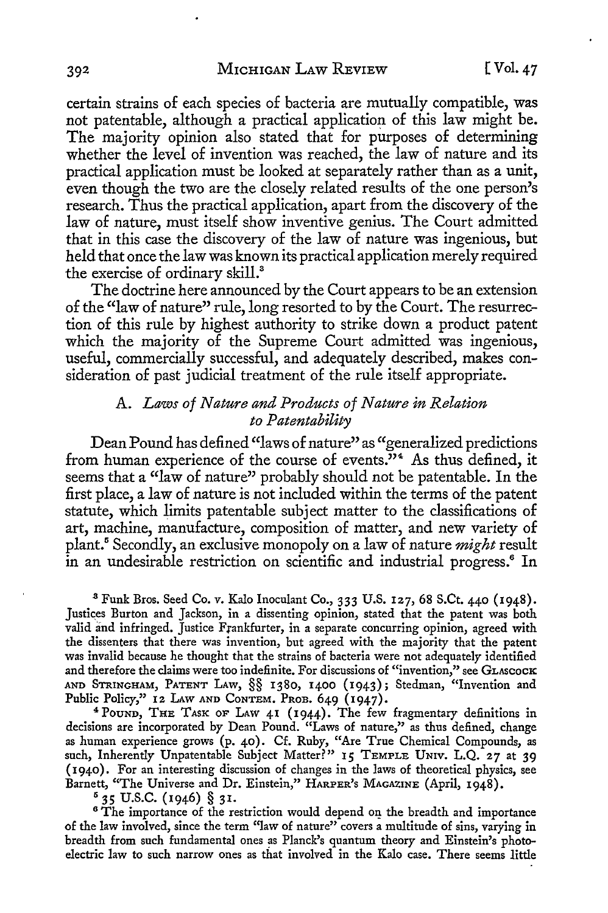certain strains of each species of bacteria are mutually compatible, was not patentable, although a practical application of this law might be. The majority opinion also stated that for purposes of determining whether the level of invention was reached, the law of nature and its practical application must be looked at separately rather than as a unit, even though the two are the closely related results of the one person's research. Thus the practical application, apart from the discovery of the law of nature, must itself show inventive genius. The Court admitted that in this case the discovery of the law of nature was ingenious, but held that once the law was known its practical application merely required the exercise of ordinary skill.<sup>3</sup>

The doctrine here announced by the Court appears to be an extension of the "law of nature" rule, long resorted to by the Court. The resurrection of this rule by highest authority to strike down a product patent which the majority of the Supreme Court admitted was ingenious, useful, commercially successful, and adequately described, makes consideration of past judicial treatment of the rule itself appropriate.

## A. *Laws of Nature and Products of Nature in Relation to Patentability*

Dean Pound has defined "laws of nature" as "generalized predictions from human experience of the course of events."<sup>4</sup> As thus defined, it seems that a "law of nature" probably should not be patentable. In the first place, a law of nature is not included within the terms of the patent statute, which limits patentable subject matter to the classifications of art, machine, manufacture, composition of matter, and new variety of plant.<sup>5</sup>Secondly, an exclusive monopoly on a law of nature *might* result in an undesirable restriction on scientific and industrial progress.<sup>6</sup> In

<sup>3</sup>Funk Bros. Seed Co. *v.* Kalo Inoculant Co., 333 U.S. 127, 68 S.Ct. 440 (1948). Justices Burton and Jackson, in a dissenting opinion, stated that the patent was both valid and infringed. Justice Frankfurter, in a separate concurring opinion, agreed with the dissenters that there was invention, but agreed with the majority that the patent was invalid because he thought that the strains of bacteria were not adequately identified and therefore the claims were too indefinite. For discussions of "invention," see GLASCOCK AND STRINGHAM, PATENT LAw, §§ 1380, 1400 (1943); Stedman, "Invention and Public Policy," 12 LAW AND CONTEM. PROB. 649 (1947).<br>
<sup>4</sup> POUND, THE TASK OF LAW 41 (1944). The few fragmentary definitions in

decisions are incorporated by Dean Pound. "Laws of nature," as thus defined, change as human experience grows (p. 40). Cf. Ruby, "Are True Chemical Compounds, as such, Inherently Unpatentable Subject Matter?" 15 TEMPLE UNIV. L.Q. 27 at 39 ( I 940). For an interesting discussion of changes in the laws of theoretical physics, see Barnett, "The Universe and Dr. Einstein," HARPER's MAGAZINE (April, 1948).

 $535$  U.S.C. (1946) § 31.<br>6 The importance of the restriction would depend on the breadth and importance of the law involved, since the term "law of nature" covers a multitude of sins, varying in breadth from such fundamental ones as Planck's quantum theory and Einstein's photoelectric law to such narrow ones as that involved in the Kalo case. There seems little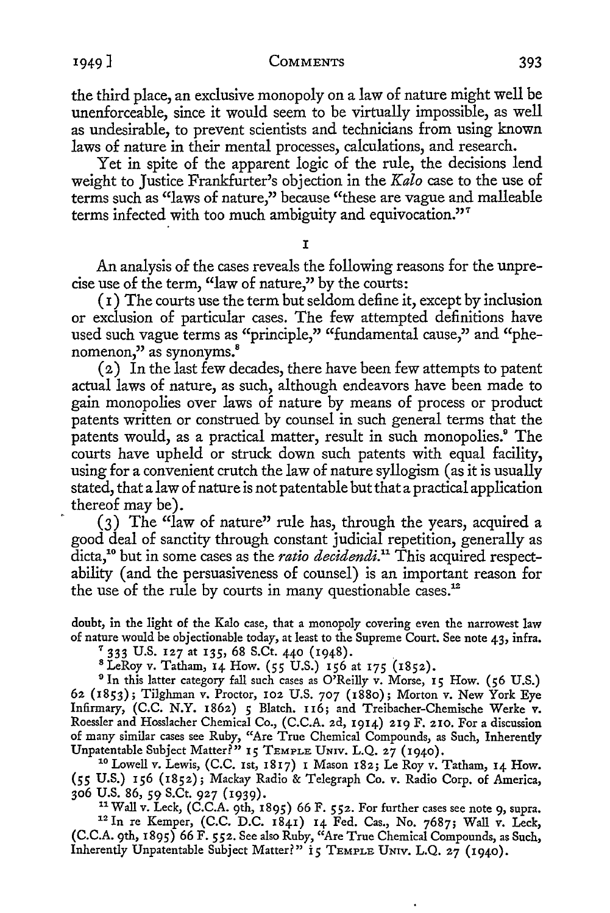#### 1949] COMMENTS 393

the third place, an exclusive monopoly on a law of nature might well be unenforceable, since it would seem to be virtually impossible, as well as undesirable, to prevent scientists and technicians from using known laws of nature in their mental processes, calculations, and research.

Yet in spite of the apparent logic of the rule, the decisions lend weight to Justice Frankfurter's objection in the *Kala* case to the use of terms such as "laws of nature," because "these are vague and malleable terms infected with too much ambiguity and equivocation."<sup>7</sup>

#### I

An analysis of the cases reveals the following reasons for the unprecise use of the term, "law of nature," by the courts:

(I) The courts use the term but seldom define it, except by inclusion or exclusion of particular cases. The few attempted definitions have used such vague terms as "principle," "fundamental cause," and "phenomenon," as synonyms.<sup>8</sup>

( 2) In the last few decades, there have been few attempts to patent actual laws of nature, as such, although endeavors have been made to gain monopolies over laws of nature by means of process or product patents written or construed by counsel in such general terms that the patents would, as a practical matter, result in such monopolies.<sup>9</sup> The courts have upheld or struck down such patents with equal facility, using for a convenient crutch the law of nature syllogism (as it is usually stated, that a law of nature is not patentable but that a practical application thereof may be).

(3) The "law of nature" rule has, through the years, acquired a good deal of sanctity through constant judicial repetition, generally as dicta,1° but in some cases as the *ratio decidendi.11* This acquired respectability ( and the persuasiveness of counsel) is an important reason for the use of the rule by courts in many questionable cases.<sup>12</sup>

doubt, in the light of the Kalo case, that a monopoly covering even the narrowest law of nature would be objectionable today, at least to the Supreme Court. See note 43, infra.

<sup>7</sup> 333 U.S. 127 at 135, 68 S.Ct. 440 (1948).<br><sup>8</sup> LeRoy v. Tatham, 14 How. (55 U.S.) 156 at 175 (1852).

<sup>9</sup> In this latter category fall such cases as O'Reilly v. Morse, 15 How. (56 U.S.) 62 (1853); Tilghman v. Proctor, 102 U.S. 707 (1880); Morton v. New York Eye Infirmary, (C.C. N.Y. 1862) 5 Blatch. 116; and Treibacher-Chemische Werke v. Roessler and Hosslacher Chemical Co., (C.C.A. 2d, 1914) 219 F. 210. For a discussion of many similar cases see Ruby, "Are True Chemical Compounds, as Such, Inherently Unpatentable Subject Matter?" 15 TEMPLE UNIV. L.Q. 27 (1940).

<sup>10</sup> Lowell v. Lewis, (C.C. 1st, 1817) I Mason 182; Le Roy v. Tatham, 14 How. (55 U.S.) 156 (1852); Mackay Radio & Telegraph Co. v. Radio Corp. of America,

<sup>11</sup> Wall v. Leck, (C.C.A. 9th, 1895) 66 F. 552. For further cases see note 9, supra. <sup>12</sup> In re Kemper, (C.C. D.C. 1841) 14 Fed. Cas., No. 7687; Wall v. Leck, (C.C.A. 9th, 1895) 66 F. *552.* See also Ruby, "Are True Chemical Compounds, as Such, Inherently Unpatentable Subject Matter?" 15 TEMPLE UNIV. L.Q. 27 (1940).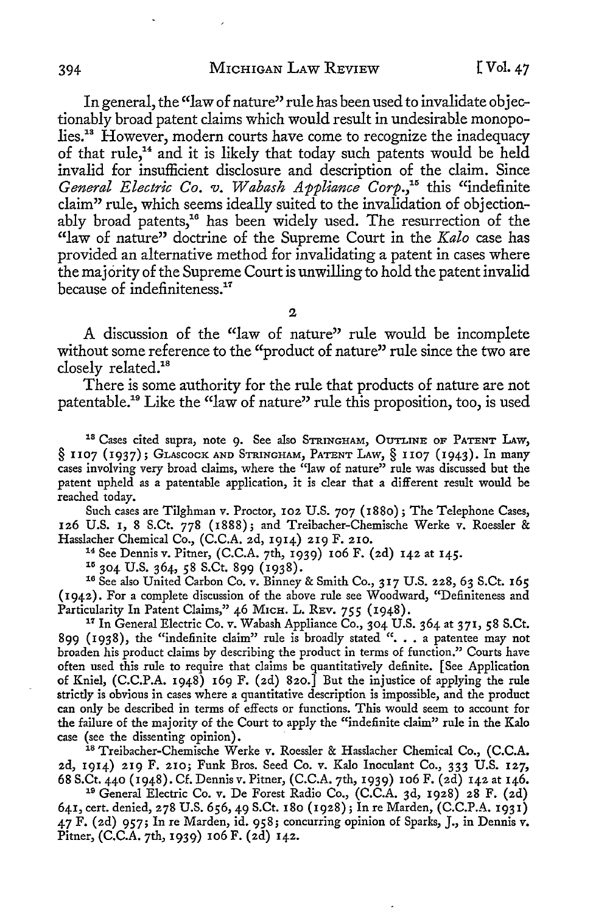In general, the "law of nature" rule has been used to invalidate objectionably broad patent claims which would result in undesirable monopolies.13 However, modern courts have come to recognize the inadequacy of that rule, 14 and it is likely that today such patents would be held invalid for insufficient disclosure and description of the claim. Since General Electric Co. v. Wabash Appliance Corp.<sup>15</sup> this "indefinite claim" rule, which seems ideally suited to the invalidation of objectionably broad patents,<sup>16</sup> has been widely used. The resurrection of the "law of nature" doctrine of the Supreme Court in the *Kalo* case has provided an alternative method for invalidating a patent in cases where the majority of the Supreme Court is unwilling to hold the patent invalid because of indefiniteness.<sup>17</sup>

2

A discussion of the "law of nature" rule would be incomplete without some reference to the "product of nature" rule since the two are closely related.<sup>18</sup>

There is some authority for the rule that products of nature are not patentable.19 Like the "law of nature" rule this proposition, too, is used

18 Cases cited supra, note 9. See also STRINGHAM, OUTLINE OF PATENT LAw, § 1107 (1937); GLAscocK AND STRINGHAM, PATENT LAW,§ 1107 (1943). In many cases involving very broad claims, where the "law of nature" rule was discussed but the patent upheld as a patentable application, it is clear that a different result would be reached today.

Such cases are Tilghman *v.* Proctor, 102 U.S. 707 (1880); The Telephone Cases, 126 U.S. 1, 8 S.Ct. 778 (1888); and Treibacher-Chemische Werke *v.* Roessler &

<sup>14</sup> See Dennis v. Pitner, (C.C.A. 7th, 1939) 106 F. (2d) 142 at 145.<br><sup>15</sup> 304 U.S. 364, 58 S.Ct. 899 (1938).<br><sup>16</sup> See also United Carbon Co. v. Binney & Smith Co., 317 U.S. 228, 63 S.Ct. 165 (1942). For a complete discussion of the above rule see Woodward, "Definiteness and Particularity In Patent Claims," 46 MICH. L. REV. 755 (1948).

<sup>17</sup> In General Electric Co. v. Wabash Appliance Co., 304 U.S. 364 at 371, 58 S.Ct. 899 (1938), the "indefinite claim" rule is broadly stated ". . . a patentee may not broaden his product claims by describing the product in terms of function." Courts have often used this rule to require that claims be quantitatively definite. [See Application of Kniel,  $(C.C.P.A. 1948)$  169 F. (2d) 820.] But the injustice of applying the rule strictly is obvious in cases where a quantitative description is impossible, and the product can only be described in terms of effects or functions. This would seem to account for the failure of the majority of the Court to apply the "indefinite claim" rule in the Kalo case (see the dissenting opinion). 18 Treibacher-Chemische Werke v. Roessler & Hasslacher Chemical Co., (C.C.A.

2d, 1914) 219 F. 210; Funk Bros. Seed Co. v. Kalo Inoculant Co., 333 U.S. 127, 68 S.Ct. 440 (1948). Cf. Dennis v. Pitner, (C.C.A. 7th, 1939) 106 F. (2d) 142 at 146. 19 General Electric Co. v. De Forest Radio Co., (C.C.A. 3d, 1928) 28 F. (2d)

641, cert. denied, 278 U.S. 656, 49 S.Ct. 180 (1928); In re Marden, (C.C.P.A. 1931) 47 F. (2d) 957; In re Marden, id. 958; concurring opinion of Sparks, J., in Dennis v. Pitner, (C.C.A. 7th, 1939) 106 F. (2d) 142.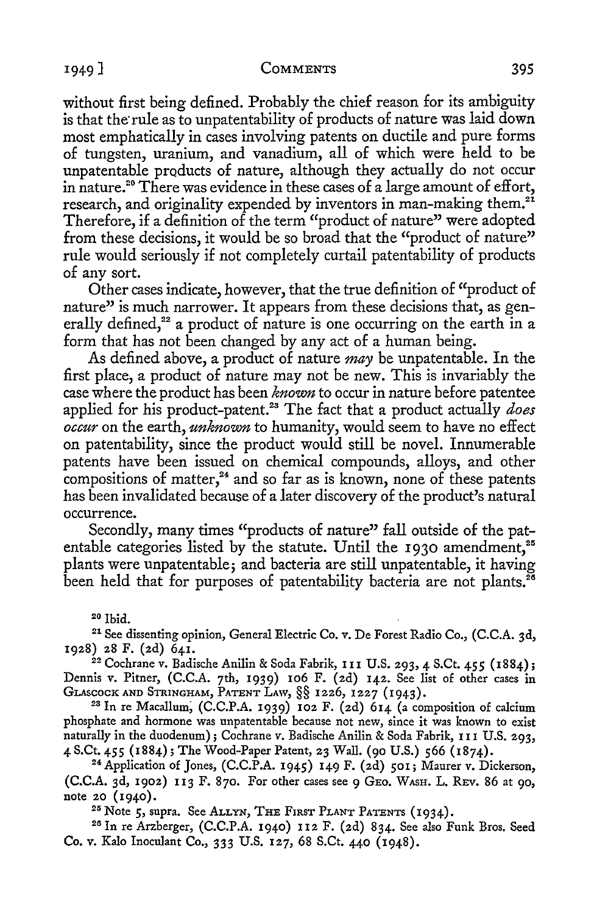#### <sup>1</sup> 949] **COMMENTS** 395

without first being defined. Probably the chief reason for its ambiguity is that the rule as to unpatentability of products of nature was laid down most emphatically in cases involving patents on ductile and pure forms of tungsten, uranium, and vanadium, all of which were held to be unpatentable products of nature, although they actually do not occur in nature.<sup>20</sup> There was evidence in these cases of a large amount of effort, research, and originality expended by inventors in man-making them.<sup>21</sup> Therefore, if a definition of the term "product of nature" were adopted from these decisions, it would be so broad that the "product of nature" rule would seriously if not completely curtail patentability of products of any sort.

Other cases indicate, however, that the true definition of "product of nature" is much narrower. It appears from these decisions that, as generally defined,<sup>22</sup> a product of nature is one occurring on the earth in a form that has not been changed by any act of a human being.

As defined above, a product of nature *may* be unpatentable. In the first place, a product of nature may not be new. This is invariably the case where the product has been *known* to occur in nature before patentee applied for his product-patent.<sup>23</sup> The fact that a product actually *does occur* on the earth, *unknown* to humanity, would seem to have no effect on patentability, since the product would still be novel. Innumerable patents have been issued on chemical compounds, alloys, and other compositions of matter, $24$  and so far as is known, none of these patents has been invalidated because of a later discovery of the product's natural occurrence.

Secondly, many times "products of nature" fall outside of the patentable categories listed by the statute. Until the 1930 amendment,<sup>25</sup> plants were unpatentable; and bacteria are still unpatentable, it having been held that for purposes of patentability bacteria are not plants.<sup>26</sup>

<sup>20</sup> Ibid.<br><sup>21</sup> See dissenting opinion, General Electric Co. v. De Forest Radio Co., (C.C.A. 3d, 1928) 28 F. (2d) 641. 22 Cochrane v. Badische Anilin & Soda Fabrik, I I I U.S. 293, 4 S.Ct. 455 (1884);

Dennis v. Pitner, (C.C.A. 7th, 1939) 106 F. (2d) 142. See list of other cases in GLASCOCK AND STRINGHAM, PATENT LAW, §§ 1226, 1227 (1943).

<sup>23</sup> In re Macallum, (C.C.P.A. 1939) 102 F. (2d) 614 (a composition of calcium phosphate and hormone was unpatentable because not new, since it was known to exist naturally in the duodenum); Cochrane v. Badische Anilin & Soda Fabrik, 111 U.S. 293, 4 S.Ct. 455 (1884); The Wood-Paper Patent, 23 Wall. (90 U.S.) 566 (1874).<br><sup>24</sup> Application of Jones, (C.C.P.A. 1945) 149 F. (2d) 501; Maurer v. Dickerson,

 $(C.C.A. 3d, 1902)$  113 F. 870. For other cases see 9 GEO. WASH. L. REV. 86 at 90, note 20 (1940).<br><sup>25</sup> Note 5, supra. See ALLYN, THE FIRST PLANT PATENTS (1934).<br><sup>26</sup> In re Arzberger, (C.C.P.A. 1940) 112 F. (2d) 834. See also Funk Bros. Seed

Co. v. Kalo Inoculant Co., 333 U.S. 127, 68 S.Ct. 440 (1948).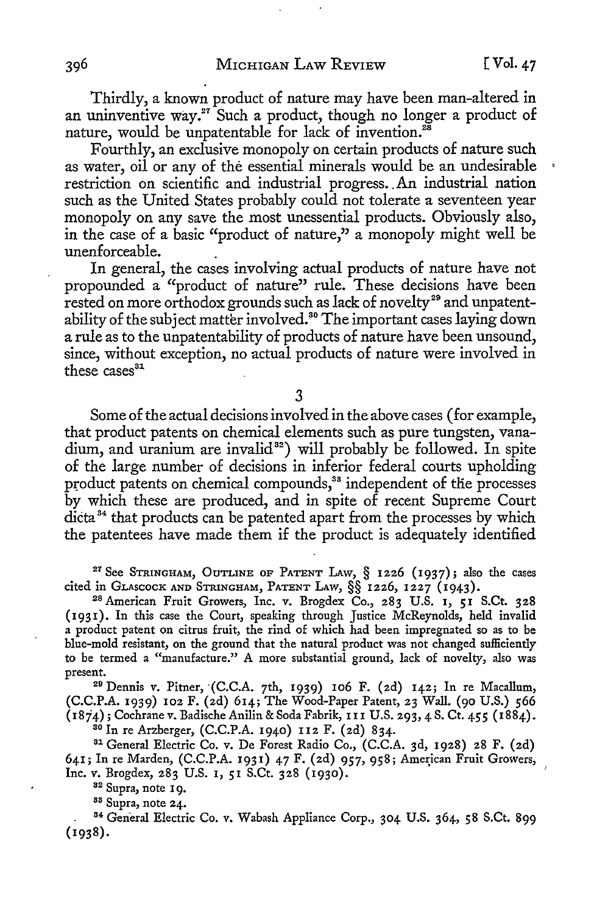Thirdly, a known product of nature may have been man-altered in an uninventive way.<sup>27</sup> Such a product, though no longer a product of nature, would be unpatentable for lack of invention.<sup>28</sup>

Fourthly, an exclusive monopoly on certain products of nature such as water, oil or any of the essential minerals would be an undesirable ' restriction on scientific and industrial progress .. An industrial nation such as the United States probably could not tolerate a seventeen year monopoly on any save the most unessential products. Obviously also, in the case of a basic "product of nature," a monopoly might well be unenforceable. .

In general, the cases involving actual products of nature have not propounded a "product of nature" rule. These decisions have been rested on more orthodox grounds such as lack of novelty<sup>29</sup> and unpatentability of the subject matter involved.<sup>30</sup> The important cases laying down a rule as to the unpatentability of products of nature have been unsound, since, without exception, no actual products of nature were involved in these  $cases<sup>31</sup>$ 

3

Some of the actual decisions involved in the above cases ( for example, that product patents on chemical elements such as pure tungsten, vanadium, and uranium are invalid<sup>32</sup>) will probably be followed. In spite of the large number of decisions in inferior federal courts upholding product patents on chemical compounds,<sup>33</sup> independent of the processes by which these are produced, and in spite of recent Supreme Court dicta<sup>34</sup> that products can be patented apart from the processes by which the patentees have made them if the product is adequately identified

<sup>27</sup> See STRINGHAM, OUTLINE OF PATENT LAW,  $\S$  1226 (1937); also the cases cited in GLASCOCK AND STRINGHAM, PATENT LAW,  $\S$  $\S$  1226, 1227 (1943).

<sup>28</sup> American Fruit Growers, Inc. v. Brogdex Co., 283 U.S. 1, 51 S.Ct. 328 (1931). In this case the Court, speaking through Justice McReynolds, held invalid a product patent on citrus fruit, the rind of which had been impregnated so as to be blue-mold resistant, on the ground that the natural product was not changed sufficiently to be termed a "manufacture." A more substantial ground, lack of novelty, also was

 $29$  Dennis v. Pitner,  $(C.C.A. 7th, 1939)$  106 F. (2d) 142; In re Macallum, (C.C.P.A. 1939) 102 F. (2d) 614; The Wood-Paper Patent, 23 Wall. (90 U.S.) 566 (1874); Cochrane v. Badische Anilin & Soda Fabrik, 111 U.S. 293, 4 S. *Ct.* 455 (1884).

<sup>30</sup> In re Arzberger, (C.C.P.A. 1940) 112 F. (2d) 834.<br><sup>31</sup> General Electric Co. v. De Forest Radio Co., (C.C.A. 3d, 1928) 28 F. (2d) 641; In re Marden, (C.C.P.A. 1931) 47 F. (2d) 957, 958; American Fruit Growers, Inc. v. Brogdex, 283 U.S. 1, 51 S.Ct. 328 (1930).

<sup>32</sup> Supra, note 19.<br><sup>33</sup> Supra, note 24.<br><sup>34</sup> General Electric Co. v. Wabash Appliance Corp., 304 U.S. 364, 58 S.Ct. 899 (1938).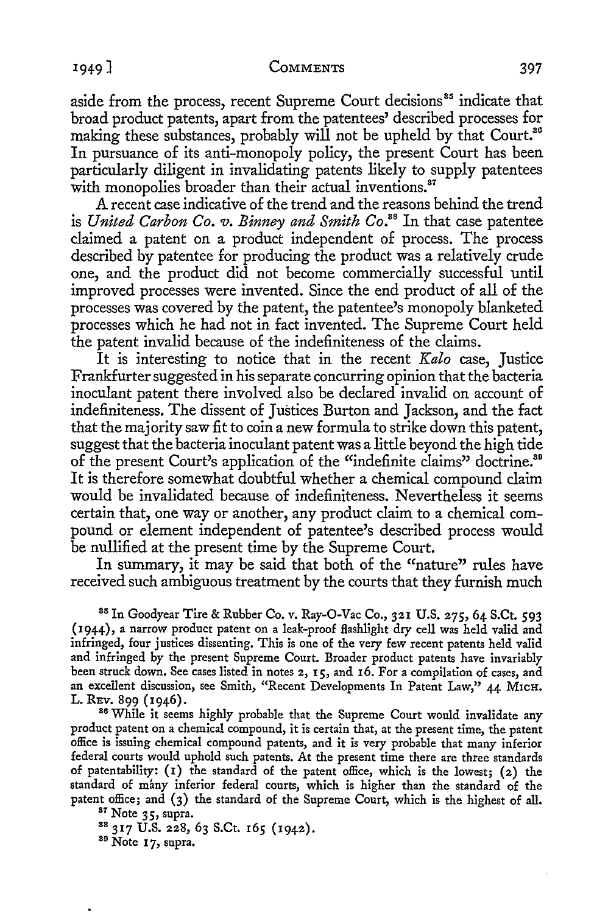## <sup>1</sup> 949] CoMMENTS 397

aside from the process, recent Supreme Court decisions<sup>35</sup> indicate that broad product patents, apart from the patentees' described processes for making these substances, probably will not be upheld by that Court.<sup>86</sup> In pursuance of its anti-monopoly policy, the present Court has been particularly diligent in invalidating patents likely to supply patentees with monopolies broader than their actual inventions.<sup>37</sup>

A recent case indicative of the trend and the reasons behind the trend is *United Carbon Co. v. Binney and Smith Co.*<sup>38</sup> In that case patentee claimed a patent on a product independent of process. The process described by patentee for producing the product was a relatively crude one, and the product did not become commercially successful until improved processes were invented. Since the end product of all of the processes was covered by the patent, the patentee's monopoly blanketed processes which he had not in fact invented. The Supreme Court held the patent invalid because of the indefiniteness of the claims.

It is interesting to notice that in the recent *Kalo* case, Justice Frankfurter suggested in his separate concurring opinion that the bacteria inoculant patent there involved also be declared invalid on account of indefiniteness. The dissent of Justices Burton and Jackson, and the fact that the majority saw fit to coin a new formula to strike down this patent, suggest that the bacteria inoculant patent was a little beyond the high tide of the present Court's application of the "indefinite claims" doctrine.<sup>89</sup> It is therefore somewhat doubtful whether a chemical compound claim would be invalidated because of indefiniteness. Nevertheless it seems certain that, one way or another, any product claim to a chemical compound or element independent of patentee's described process would be nullified at the present time by the Supreme Court.

In summary, it may be said that both of the "nature" rules have received such ambiguous treatment by the courts that they furnish much

85 In Goodyear Tire & Rubber Co. *v.* Ray-O-Vac Co., 321 U.S. 275, 64 S.Ct. 593 (1944), a narrow product patent on a leak-proof flashlight dry cell was held valid and infringed, four justices dissenting. This is one of the very few recent patents held valid and infringed by the present Supreme Court. Broader product patents have invariably been struck down. See cases listed in notes 2, 15, and 16. For a compilation of cases, and an excellent discussion, see Smith, "Recent Developments In Patent Law," 44 M1cH.

L. REv. 899 (1946).<br><sup>86</sup> While it seems highly probable that the Supreme Court would invalidate any product patent on a chemical compound, it is certain that, at the present time, the patent office is issuing chemical compound patents, and it is very probable that many inferior federal courts would uphold such patents. At the present time there are three standards of patentability: (1) the standard of the patent office, which is the lowest; (2) the standard of many inferior federal courts, which is higher than the standard of the

patent office; and (3) the standard of the Supreme Court, which is the highest of all.<br><sup>87</sup> Note 35, supra.<br><sup>88</sup> 317 U.S. 228, 63 S.Ct. 165 (1942).<br><sup>89</sup> Note 17, supra.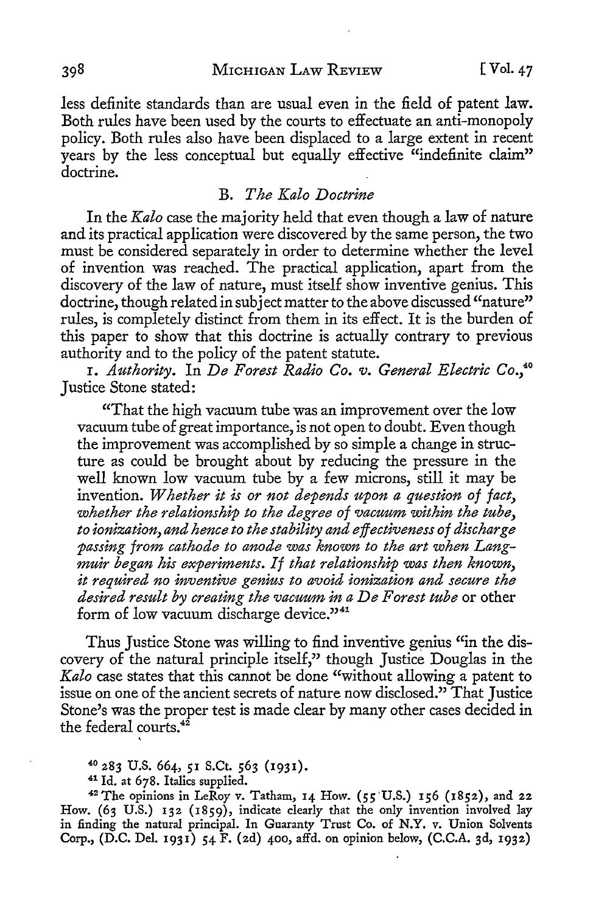less definite standards than are usual even in the field of patent law. Both rules have been used by the courts to effectuate an anti-monopoly policy. Both rules also have been displaced to a large extent in recent years by the less conceptual but equally effective "indefinite claim" doctrine.

### B. *The Kalo Doctrine*

In the *Kalo* case the majority held that even though a law of nature and its practical application were discovered by the same person, the two must be considered separately in order to determine whether the level of invention was reached. The practical application, apart from the discovery of the law of nature, must itself show inventive genius. This doctrine, though related in subject matter to the above discussed "nature" rules, is completely distinct from them in its effect. It is the burden of this paper to show that this doctrine is actually contrary to previous authority and to the policy of the patent statute.

I. *Authority.* In *De Forest Radio Co. v. General Electric Co.,*<sup>40</sup> Justice Stone stated:

"That the high vacuum tube was an improvement over the low vacuum tube of great importance, is not open to doubt. Even though the improvement was accomplished by so simple a change in structure as could be brought about by reducing the pressure in the well known low vacuum tube by a few microns, still it may be invention. *Whether it is or not depends upon a question of fact, whether the relationship to the degree of vacuum within the tube, to ionization, and hence to the stability and effectiveness of discharge passing from cathode to anode was known to the art when Langmuir began his experiments. If that relationship was then known, it required no inventive genius to avoid ionization and secure the desired result by creating the vacuum in a De Forest tube* or other form of low vacuum discharge device."<sup>41</sup>

Thus Justice Stone was willing to find inventive genius "in the discovery of the natural principle itself," though Justice Douglas in the *Kalo* case states that this cannot be done "without allowing a patent to issue on one of the ancient secrets of nature now disclosed." That Justice Stone's was the proper test is made clear by many other cases decided in the federal courts.<sup>42</sup>

40 283 U.S. 664, 51 S.Ct. 563 ( l 93 I).

41 Id. at 678. Italics supplied.

<sup>42</sup> The opinions in LeRoy v. Tatham, 14 How. (55'U.S.) 156 (1852), and 22 How. (63 U.S.) 132 (1859), indicate clearly that the *only* invention involved lay in finding the natural principal. In Guaranty Trust Co. of N.Y. v. Union Solvents Corp., (D.C. Del. 1931) 54 F. (2d) 400, affd. on opinion below, (C.C.A. 3d, 1932)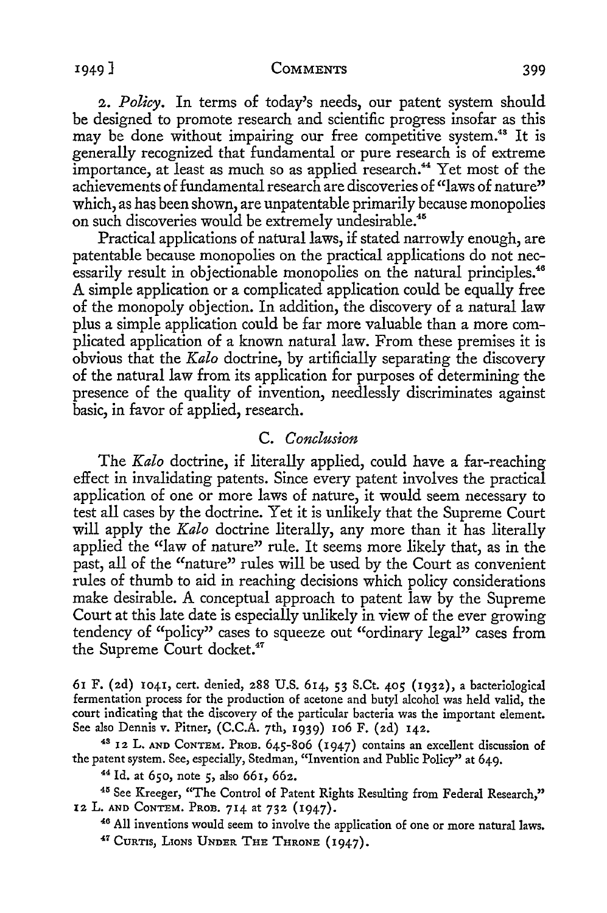#### <sup>1</sup> 949] **COMMENTS** 399

2. *Policy.* In terms of today's needs, our patent system should be designed to promote research and scientific progress insofar as this may be done without impairing our free competitive system.<sup>48</sup> It is generally recognized that fundamental or pure research is of extreme importance, at least as much so as applied research.<sup>44</sup> Yet most of the achievements of fundamental research are discoveries of "laws of nature" which, as has been shown, are unpatentable primarily because monopolies on such discoveries would be extremely undesirable.<sup>45</sup>

Practical applications of natural laws, if stated narrowly enough, are patentable because monopolies on the practical applications do not necessarily result in objectionable monopolies on the natural principles.<sup>46</sup> A simple application or a complicated application could be equally free of the monopoly objection. In addition, the discovery of a natural law plus a simple application could be far more valuable than a more complicated application of a known natural law. From these premises it is obvious that the *Kalo* doctrine, by artificially separating the discovery of the natural law from its application for purposes of determining the presence of the quality of invention, needlessly discriminates against basic, in favor of applied, research.

## C. *Conclusion*

The *Kala* doctrine, if literally applied, could have a far-reaching effect in invalidating patents. Since every patent involves the practical application of one or more laws of nature, it would seem necessary to test all cases by the doctrine. Yet it is unlikely that the Supreme Court will apply the *Kalo* doctrine literally, any more than it has literally applied the "law of nature" rule. It seems more likely that, as in the past, all of the "nature" rules will be used by the Court as convenient rules of thumb to aid in reaching decisions which policy considerations make desirable. A conceptual approach to patent law by the Supreme Court at this late date is especially unlikely in view of the ever growing tendency of "policy" cases to squeeze out "ordinary legal" cases from the Supreme Court docket.<sup>47</sup>

61 F. (2d) 1041, cert. denied, 288 U.S. 614, 53 S.Ct. 405 (1932), a bacteriological fermentation process for the production of acetone and butyl alcohol was held valid, the court indicating that the discovery of the particular bacteria was the important element.<br>See also Dennis v. Pitner, (C.C.A. 7th, 1939) 106 F. (2d) 142.

<sup>48</sup> 12 L. AND CONTEM. PROB. 645-806 (1947) contains an excellent discussion of the patent system. See, especially, Stedman, "Invention and Public Policy" at 649.<br><sup>44</sup> Id. at 650, note 5, also 661, 662.<br><sup>45</sup> See Kreeger, "The Control of Patent Rights Resulting from Federal Research,"

12 L. AND CONTEM. PROB. 714 at 732 (1947).<br><sup>46</sup> All inventions would seem to involve the application of one or more natural laws.<br><sup>47</sup> CURTIS, LIONS UNDER THE THRONE (1947).